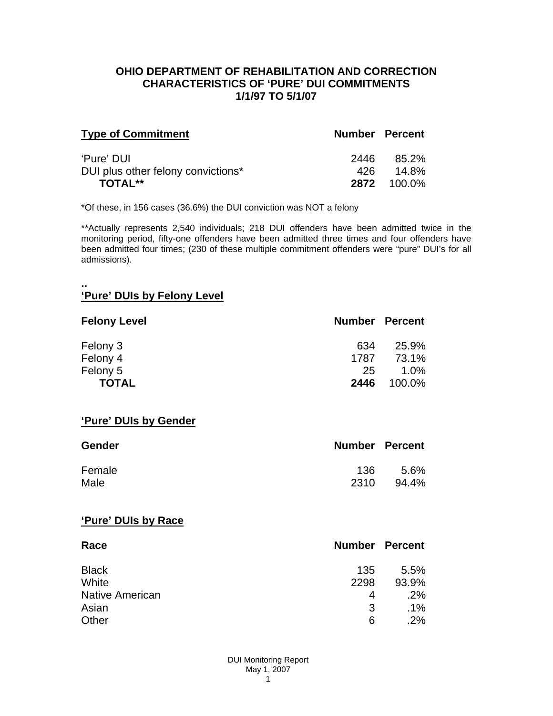## **OHIO DEPARTMENT OF REHABILITATION AND CORRECTION CHARACTERISTICS OF 'PURE' DUI COMMITMENTS 1/1/97 TO 5/1/07**

| <b>Type of Commitment</b>          | Number Percent |                    |
|------------------------------------|----------------|--------------------|
| 'Pure' DUI                         | 2446           | 85.2%              |
| DUI plus other felony convictions* |                | 14.8%              |
| <b>TOTAL**</b>                     |                | <b>2872</b> 100.0% |

\*Of these, in 156 cases (36.6%) the DUI conviction was NOT a felony

\*\*Actually represents 2,540 individuals; 218 DUI offenders have been admitted twice in the monitoring period, fifty-one offenders have been admitted three times and four offenders have been admitted four times; (230 of these multiple commitment offenders were "pure" DUI's for all admissions).

#### **.. 'Pure' DUIs by Felony Level**

| <b>Felony Level</b> | <b>Number Percent</b> |         |
|---------------------|-----------------------|---------|
| Felony 3            | 634                   | 25.9%   |
| Felony 4            | 1787                  | 73.1%   |
| Felony 5            | 25                    | $1.0\%$ |
| <b>TOTAL</b>        | 2446                  | 100.0%  |

#### **'Pure' DUIs by Gender**

| <b>Gender</b> | <b>Number Percent</b> |       |
|---------------|-----------------------|-------|
| Female        | 136.                  | 5.6%  |
| Male          | 2310                  | 94.4% |

#### **'Pure' DUIs by Race**

| Race                   | <b>Number Percent</b> |        |
|------------------------|-----------------------|--------|
| <b>Black</b>           | 135                   | 5.5%   |
| White                  | 2298                  | 93.9%  |
| <b>Native American</b> | 4                     | .2%    |
| Asian                  | 3                     | $.1\%$ |
| Other                  | 6                     | .2%    |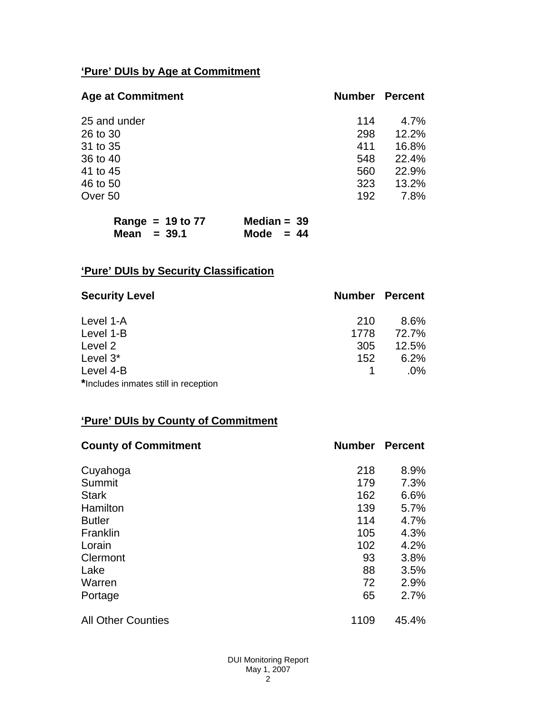# **'Pure' DUIs by Age at Commitment**

| <b>Age at Commitment</b> | <b>Number</b> | <b>Percent</b> |
|--------------------------|---------------|----------------|
| 25 and under             | 114           | $4.7\%$        |
| 26 to 30                 | 298           | 12.2%          |
| 31 to 35                 | 411           | 16.8%          |
| 36 to 40                 | 548           | 22.4%          |
| 41 to 45                 | 560           | 22.9%          |
| 46 to 50                 | 323           | 13.2%          |
| Over 50                  | 192           | 7.8%           |

| Range = $19$ to $77$ | Median = $39$ |  |
|----------------------|---------------|--|
| Mean $=$ 39.1        | Mode $= 44$   |  |

# **'Pure' DUIs by Security Classification**

| <b>Security Level</b>                | <b>Number Percent</b> |        |
|--------------------------------------|-----------------------|--------|
| Level 1-A                            | 210                   | 8.6%   |
| Level 1-B                            | 1778                  | 72.7%  |
| Level 2                              | 305                   | 12.5%  |
| Level 3*                             | 152                   | 6.2%   |
| Level 4-B                            |                       | $.0\%$ |
| *Includes inmates still in reception |                       |        |

# **'Pure' DUIs by County of Commitment**

| <b>County of Commitment</b> | <b>Number</b> | <b>Percent</b> |
|-----------------------------|---------------|----------------|
| Cuyahoga                    | 218           | 8.9%           |
| Summit                      | 179           | 7.3%           |
| <b>Stark</b>                | 162           | 6.6%           |
| Hamilton                    | 139           | 5.7%           |
| <b>Butler</b>               | 114           | 4.7%           |
| Franklin                    | 105           | 4.3%           |
| Lorain                      | 102           | 4.2%           |
| Clermont                    | 93            | 3.8%           |
| Lake                        | 88            | 3.5%           |
| Warren                      | 72            | 2.9%           |
| Portage                     | 65            | 2.7%           |
| <b>All Other Counties</b>   | 1109          | 45.4%          |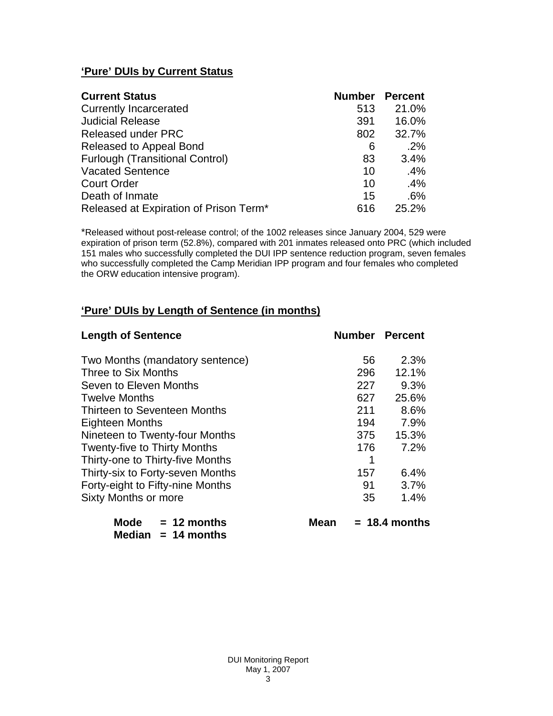## **'Pure' DUIs by Current Status**

| <b>Current Status</b>                  | <b>Number Percent</b> |        |
|----------------------------------------|-----------------------|--------|
| <b>Currently Incarcerated</b>          | 513                   | 21.0%  |
| <b>Judicial Release</b>                | 391                   | 16.0%  |
| <b>Released under PRC</b>              | 802                   | 32.7%  |
| Released to Appeal Bond                | 6                     | .2%    |
| <b>Furlough (Transitional Control)</b> | 83                    | 3.4%   |
| <b>Vacated Sentence</b>                | 10                    | $.4\%$ |
| <b>Court Order</b>                     | 10                    | .4%    |
| Death of Inmate                        | 15                    | .6%    |
| Released at Expiration of Prison Term* | 616                   | 25.2%  |

\*Released without post-release control; of the 1002 releases since January 2004, 529 were expiration of prison term (52.8%), compared with 201 inmates released onto PRC (which included 151 males who successfully completed the DUI IPP sentence reduction program, seven females who successfully completed the Camp Meridian IPP program and four females who completed the ORW education intensive program).

## **'Pure' DUIs by Length of Sentence (in months)**

| <b>Length of Sentence</b>           | <b>Number Percent</b> |                 |
|-------------------------------------|-----------------------|-----------------|
| Two Months (mandatory sentence)     | 56                    | 2.3%            |
| Three to Six Months                 | 296                   | 12.1%           |
| Seven to Eleven Months              | 227                   | 9.3%            |
| <b>Twelve Months</b>                | 627                   | 25.6%           |
| Thirteen to Seventeen Months        | 211                   | 8.6%            |
| <b>Eighteen Months</b>              | 194                   | 7.9%            |
| Nineteen to Twenty-four Months      | 375                   | 15.3%           |
| <b>Twenty-five to Thirty Months</b> | 176                   | 7.2%            |
| Thirty-one to Thirty-five Months    | 1                     |                 |
| Thirty-six to Forty-seven Months    | 157                   | 6.4%            |
| Forty-eight to Fifty-nine Months    | 91                    | 3.7%            |
| Sixty Months or more                | 35                    | 1.4%            |
| <b>Mode</b><br>$= 12$ months        | Mean                  | $= 18.4$ months |

| <b>Median</b> | $= 14$ months |
|---------------|---------------|
|---------------|---------------|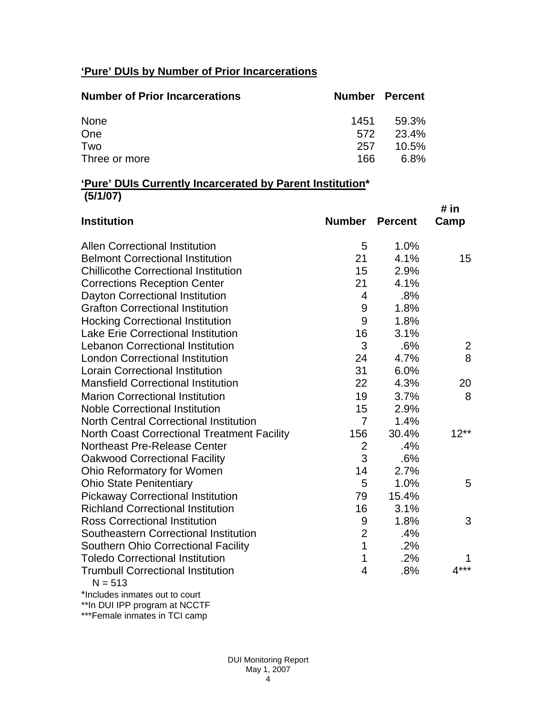# **'Pure' DUIs by Number of Prior Incarcerations**

| <b>Number of Prior Incarcerations</b> |      | <b>Number Percent</b> |
|---------------------------------------|------|-----------------------|
| None                                  | 1451 | 59.3%                 |
| One                                   | 572  | 23.4%                 |
| Two                                   | 257  | $10.5\%$              |
| Three or more                         | 166. | 6.8%                  |

## **'Pure' DUIs Currently Incarcerated by Parent Institution\* (5/1/07)**

| <b>Institution</b>                                    | <b>Number Percent</b> |       | # in<br>Camp |
|-------------------------------------------------------|-----------------------|-------|--------------|
| <b>Allen Correctional Institution</b>                 | 5                     | 1.0%  |              |
| <b>Belmont Correctional Institution</b>               | 21                    | 4.1%  | 15           |
| <b>Chillicothe Correctional Institution</b>           | 15                    | 2.9%  |              |
| <b>Corrections Reception Center</b>                   | 21                    | 4.1%  |              |
| Dayton Correctional Institution                       | $\overline{4}$        | .8%   |              |
| <b>Grafton Correctional Institution</b>               | 9                     | 1.8%  |              |
| <b>Hocking Correctional Institution</b>               | 9                     | 1.8%  |              |
| <b>Lake Erie Correctional Institution</b>             | 16                    | 3.1%  |              |
| <b>Lebanon Correctional Institution</b>               | 3                     | .6%   | 2            |
| <b>London Correctional Institution</b>                | 24                    | 4.7%  | 8            |
| <b>Lorain Correctional Institution</b>                | 31                    | 6.0%  |              |
| <b>Mansfield Correctional Institution</b>             | 22                    | 4.3%  | 20           |
| <b>Marion Correctional Institution</b>                | 19                    | 3.7%  | 8            |
| <b>Noble Correctional Institution</b>                 | 15                    | 2.9%  |              |
| <b>North Central Correctional Institution</b>         | $\overline{7}$        | 1.4%  |              |
| <b>North Coast Correctional Treatment Facility</b>    | 156                   | 30.4% | $12**$       |
| <b>Northeast Pre-Release Center</b>                   | $\overline{2}$        | .4%   |              |
| <b>Oakwood Correctional Facility</b>                  | 3                     | .6%   |              |
| Ohio Reformatory for Women                            | 14                    | 2.7%  |              |
| <b>Ohio State Penitentiary</b>                        | 5                     | 1.0%  | 5            |
| <b>Pickaway Correctional Institution</b>              | 79                    | 15.4% |              |
| <b>Richland Correctional Institution</b>              | 16                    | 3.1%  |              |
| <b>Ross Correctional Institution</b>                  | 9                     | 1.8%  | 3            |
| Southeastern Correctional Institution                 | $\overline{2}$        | .4%   |              |
| <b>Southern Ohio Correctional Facility</b>            | $\mathbf 1$           | .2%   |              |
| <b>Toledo Correctional Institution</b>                | 1                     | .2%   |              |
| <b>Trumbull Correctional Institution</b><br>$N = 513$ | $\overline{4}$        | .8%   | $4***$       |
| *Includes inmates out to court                        |                       |       |              |

\*\*In DUI IPP program at NCCTF \*\*\*Female inmates in TCI camp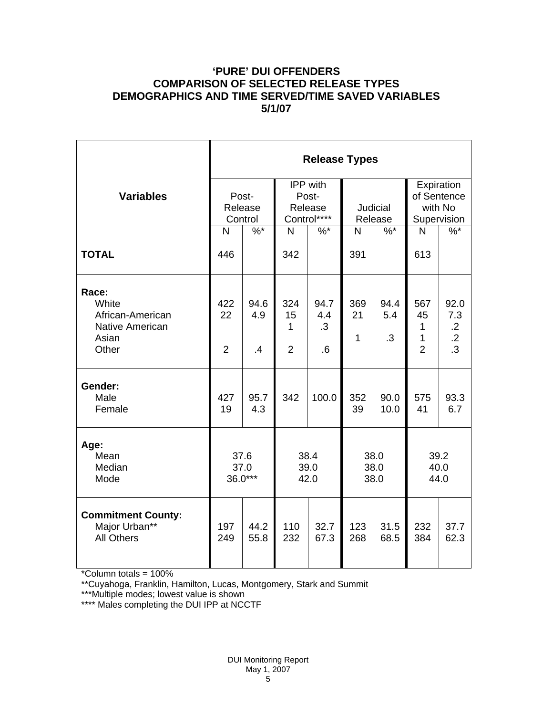## **'PURE' DUI OFFENDERS COMPARISON OF SELECTED RELEASE TYPES DEMOGRAPHICS AND TIME SERVED/TIME SAVED VARIABLES 5/1/07**

|                                                                                | <b>Release Types</b>        |                             |                                             |                                 |                           |                          |                                                     |                                                           |  |
|--------------------------------------------------------------------------------|-----------------------------|-----------------------------|---------------------------------------------|---------------------------------|---------------------------|--------------------------|-----------------------------------------------------|-----------------------------------------------------------|--|
| <b>Variables</b>                                                               |                             | Post-<br>Release<br>Control | IPP with<br>Post-<br>Release<br>Control**** |                                 | Judicial<br>Release       |                          | Expiration<br>of Sentence<br>with No<br>Supervision |                                                           |  |
|                                                                                | N                           | $\%$ *                      | N<br>$%$ *                                  |                                 | $\%$ *<br>N               |                          | $\%$<br>$\mathsf{N}$                                |                                                           |  |
| <b>TOTAL</b>                                                                   | 446                         |                             | 342                                         |                                 | 391                       |                          | 613                                                 |                                                           |  |
| Race:<br>White<br>African-American<br><b>Native American</b><br>Asian<br>Other | 422<br>22<br>$\overline{2}$ | 94.6<br>4.9<br>$\cdot$      | 324<br>15<br>1<br>$\overline{2}$            | 94.7<br>4.4<br>$\cdot$ 3<br>6.6 | 369<br>21<br>$\mathbf{1}$ | 94.4<br>5.4<br>$\cdot$ 3 | 567<br>45<br>$\mathbf{1}$<br>1<br>$\overline{2}$    | 92.0<br>7.3<br>$\cdot$ .2<br>$\overline{.2}$<br>$\cdot$ 3 |  |
| Gender:<br>Male<br>Female                                                      | 427<br>19                   | 95.7<br>4.3                 | 342                                         | 100.0                           | 352<br>39                 | 90.0<br>10.0             | 575<br>41                                           | 93.3<br>6.7                                               |  |
| Age:<br>Mean<br>Median<br>Mode                                                 | 37.6<br>37.0<br>36.0***     |                             | 38.4<br>39.0<br>42.0                        |                                 | 38.0<br>38.0<br>38.0      |                          | 39.2<br>40.0<br>44.0                                |                                                           |  |
| <b>Commitment County:</b><br>Major Urban**<br><b>All Others</b>                | 197<br>249                  | 44.2<br>55.8                | 110<br>232                                  | 32.7<br>67.3                    | 123<br>268                | 31.5<br>68.5             | 232<br>384                                          | 37.7<br>62.3                                              |  |

\*Column totals = 100%

\*\*Cuyahoga, Franklin, Hamilton, Lucas, Montgomery, Stark and Summit

\*\*\*Multiple modes; lowest value is shown

\*\*\*\* Males completing the DUI IPP at NCCTF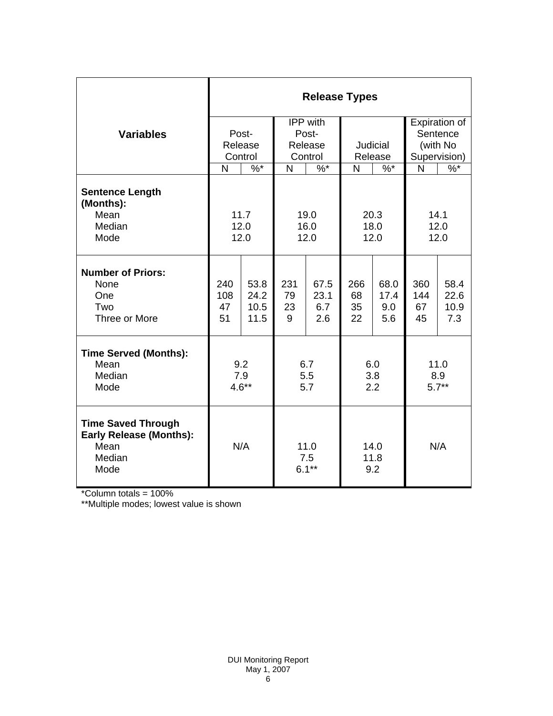|                                                                                                | <b>Release Types</b>        |                              |                                         |                            |                       |                            |                                                       |                             |
|------------------------------------------------------------------------------------------------|-----------------------------|------------------------------|-----------------------------------------|----------------------------|-----------------------|----------------------------|-------------------------------------------------------|-----------------------------|
| <b>Variables</b>                                                                               | Post-<br>Release<br>Control |                              | IPP with<br>Post-<br>Release<br>Control |                            | Judicial<br>Release   |                            | Expiration of<br>Sentence<br>(with No<br>Supervision) |                             |
|                                                                                                | N                           | $\frac{9}{6}$                | N                                       | $\frac{9}{6}$              |                       | $\%$ *<br>$\mathsf{N}$     |                                                       | $\frac{9}{6}$               |
| <b>Sentence Length</b><br>(Months):<br>Mean<br>Median<br>Mode                                  | 11.7<br>12.0<br>12.0        |                              | 19.0<br>16.0<br>12.0                    |                            | 20.3<br>18.0<br>12.0  |                            | 14.1<br>12.0<br>12.0                                  |                             |
| <b>Number of Priors:</b><br>None<br>One<br>Two<br>Three or More                                | 240<br>108<br>47<br>51      | 53.8<br>24.2<br>10.5<br>11.5 | 231<br>79<br>23<br>9                    | 67.5<br>23.1<br>6.7<br>2.6 | 266<br>68<br>35<br>22 | 68.0<br>17.4<br>9.0<br>5.6 | 360<br>144<br>67<br>45                                | 58.4<br>22.6<br>10.9<br>7.3 |
| <b>Time Served (Months):</b><br>Mean<br>Median<br>Mode                                         | 9.2<br>7.9<br>$4.6**$       |                              | 6.7<br>5.5<br>5.7                       |                            | 6.0<br>3.8<br>2.2     |                            | 11.0<br>8.9<br>$5.7**$                                |                             |
| <b>Time Saved Through</b><br><b>Early Release (Months):</b><br>Mean<br>Median<br>Mode<br>0.001 | N/A                         |                              | 11.0<br>7.5<br>$6.1***$                 |                            | 14.0<br>11.8<br>9.2   |                            | N/A                                                   |                             |

\*Column totals = 100%

\*\*Multiple modes; lowest value is shown